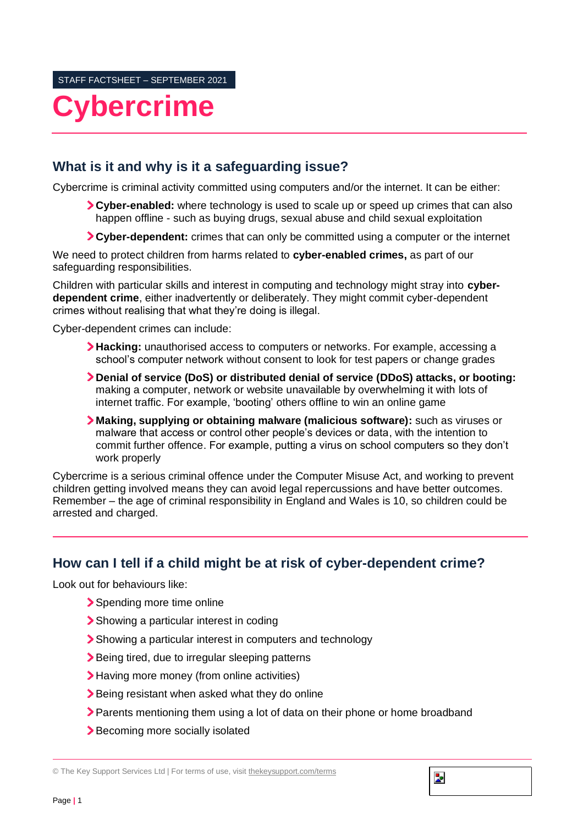# **Cybercrime**

## **What is it and why is it a safeguarding issue?**

Cybercrime is criminal activity committed using computers and/or the internet. It can be either:

- **Cyber-enabled:** where technology is used to scale up or speed up crimes that can also happen offline - such as buying drugs, sexual abuse and child sexual exploitation
- **Cyber-dependent:** crimes that can only be committed using a computer or the internet

We need to protect children from harms related to **cyber-enabled crimes,** as part of our safeguarding responsibilities.

Children with particular skills and interest in computing and technology might stray into **cyberdependent crime**, either inadvertently or deliberately. They might commit cyber-dependent crimes without realising that what they're doing is illegal.

Cyber-dependent crimes can include:

- **Hacking:** unauthorised access to computers or networks. For example, accessing a school's computer network without consent to look for test papers or change grades
- **Denial of service (DoS) or distributed denial of service (DDoS) attacks, or booting:** making a computer, network or website unavailable by overwhelming it with lots of internet traffic. For example, 'booting' others offline to win an online game
- **Making, supplying or obtaining malware (malicious software):** such as viruses or malware that access or control other people's devices or data, with the intention to commit further offence. For example, putting a virus on school computers so they don't work properly

Cybercrime is a serious criminal offence under the Computer Misuse Act, and working to prevent children getting involved means they can avoid legal repercussions and have better outcomes. Remember – the age of criminal responsibility in England and Wales is 10, so children could be arrested and charged.

### **How can I tell if a child might be at risk of cyber-dependent crime?**

Look out for behaviours like:

- Spending more time online
- Showing a particular interest in coding
- Showing a particular interest in computers and technology
- **>** Being tired, due to irregular sleeping patterns
- Having more money (from online activities)
- Being resistant when asked what they do online
- **>** Parents mentioning them using a lot of data on their phone or home broadband

b.

> Becoming more socially isolated

© The Key Support Services Ltd | For terms of use, visit [thekeysupport.com/terms](https://thekeysupport.com/terms-of-use)